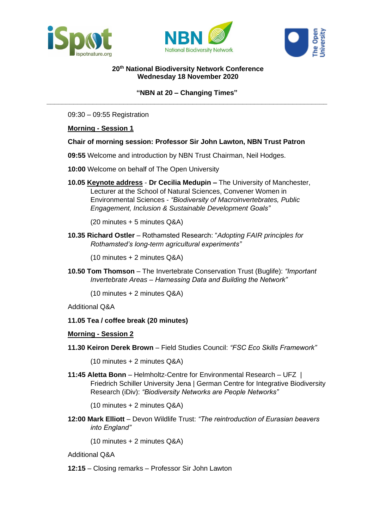





# **20th National Biodiversity Network Conference Wednesday 18 November 2020**

# **"NBN at 20 – Changing Times" \_\_\_\_\_\_\_\_\_\_\_\_\_\_\_\_\_\_\_\_\_\_\_\_\_\_\_\_\_\_\_\_\_\_\_\_\_\_\_\_\_\_\_\_\_\_\_\_\_\_\_\_\_\_\_\_\_\_\_\_\_\_\_\_\_\_\_\_\_\_\_\_\_**

09:30 – 09:55 Registration

## **Morning - Session 1**

## **Chair of morning session: Professor Sir John Lawton, NBN Trust Patron**

- **09:55** Welcome and introduction by NBN Trust Chairman, Neil Hodges.
- **10:00** Welcome on behalf of The Open University
- **10.05 Keynote address Dr Cecilia Medupin –** The University of Manchester, Lecturer at the School of Natural Sciences, Convener Women in Environmental Sciences - *"Biodiversity of Macroinvertebrates, Public Engagement, Inclusion & Sustainable Development Goals"*

(20 minutes + 5 minutes Q&A)

**10.35 Richard Ostler** – Rothamsted Research: "*Adopting FAIR principles for Rothamsted's long-term agricultural experiments"*

(10 minutes + 2 minutes Q&A)

**10.50 Tom Thomson** – The Invertebrate Conservation Trust (Buglife): *"Important Invertebrate Areas – Harnessing Data and Building the Network"*

(10 minutes + 2 minutes Q&A)

Additional Q&A

## **11.05 Tea / coffee break (20 minutes)**

## **Morning - Session 2**

**11.30 Keiron Derek Brown** – Field Studies Council: *"FSC Eco Skills Framework"*

(10 minutes + 2 minutes Q&A)

**11:45 Aletta Bonn** – Helmholtz-Centre for Environmental Research – UFZ | Friedrich Schiller University Jena | German Centre for Integrative Biodiversity Research (iDiv): *"Biodiversity Networks are People Networks"*

(10 minutes + 2 minutes Q&A)

**12:00 Mark Elliott** – Devon Wildlife Trust: *"The reintroduction of Eurasian beavers into England"*

(10 minutes + 2 minutes Q&A)

Additional Q&A

**12:15** – Closing remarks – Professor Sir John Lawton